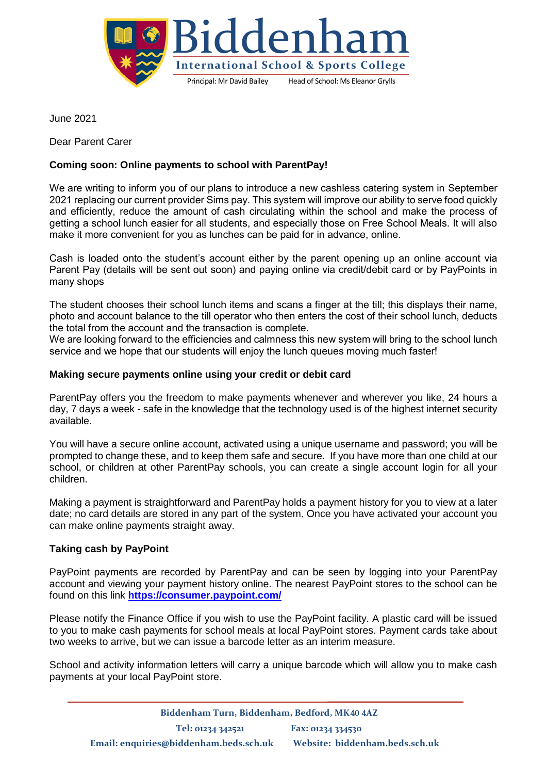

June 2021

Dear Parent Carer

# **Coming soon: Online payments to school with ParentPay!**

We are writing to inform you of our plans to introduce a new cashless catering system in September 2021 replacing our current provider Sims pay. This system will improve our ability to serve food quickly and efficiently, reduce the amount of cash circulating within the school and make the process of getting a school lunch easier for all students, and especially those on Free School Meals. It will also make it more convenient for you as lunches can be paid for in advance, online.

Cash is loaded onto the student's account either by the parent opening up an online account via Parent Pay (details will be sent out soon) and paying online via credit/debit card or by PayPoints in many shops

The student chooses their school lunch items and scans a finger at the till; this displays their name, photo and account balance to the till operator who then enters the cost of their school lunch, deducts the total from the account and the transaction is complete.

We are looking forward to the efficiencies and calmness this new system will bring to the school lunch service and we hope that our students will enjoy the lunch queues moving much faster!

## **Making secure payments online using your credit or debit card**

ParentPay offers you the freedom to make payments whenever and wherever you like, 24 hours a day, 7 days a week - safe in the knowledge that the technology used is of the highest internet security available.

You will have a secure online account, activated using a unique username and password; you will be prompted to change these, and to keep them safe and secure. If you have more than one child at our school, or children at other ParentPay schools, you can create a single account login for all your children.

Making a payment is straightforward and ParentPay holds a payment history for you to view at a later date; no card details are stored in any part of the system. Once you have activated your account you can make online payments straight away.

## **Taking cash by PayPoint**

PayPoint payments are recorded by ParentPay and can be seen by logging into your ParentPay account and viewing your payment history online. The nearest PayPoint stores to the school can be found on this link **<https://consumer.paypoint.com/>**

Please notify the Finance Office if you wish to use the PayPoint facility. A plastic card will be issued to you to make cash payments for school meals at local PayPoint stores. Payment cards take about two weeks to arrive, but we can issue a barcode letter as an interim measure.

School and activity information letters will carry a unique barcode which will allow you to make cash payments at your local PayPoint store.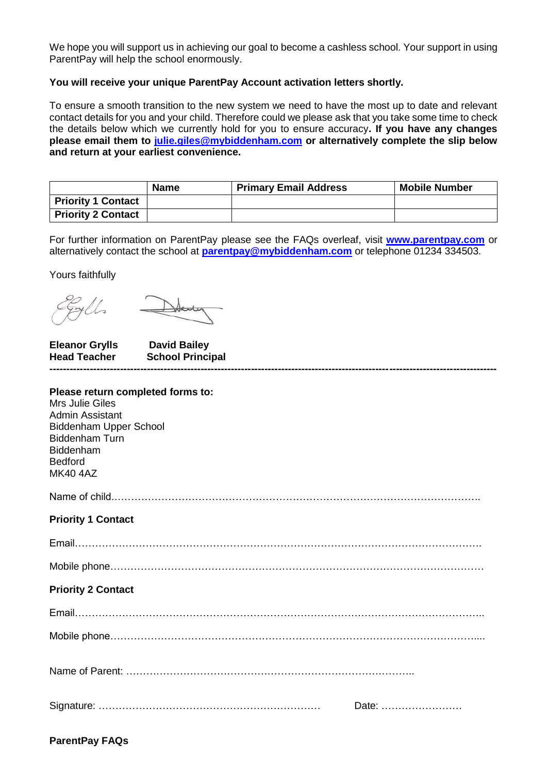We hope you will support us in achieving our goal to become a cashless school. Your support in using ParentPay will help the school enormously.

### **You will receive your unique ParentPay Account activation letters shortly.**

To ensure a smooth transition to the new system we need to have the most up to date and relevant contact details for you and your child. Therefore could we please ask that you take some time to check the details below which we currently hold for you to ensure accuracy**. If you have any changes please email them to [julie.giles@mybiddenham.com](mailto:julie.giles@mybiddenham.com) or alternatively complete the slip below and return at your earliest convenience.**

|                           | <b>Name</b> | <b>Primary Email Address</b> | <b>Mobile Number</b> |
|---------------------------|-------------|------------------------------|----------------------|
| <b>Priority 1 Contact</b> |             |                              |                      |
| Priority 2 Contact        |             |                              |                      |

For further information on ParentPay please see the FAQs overleaf, visit **[www.parentpay.com](https://www.parentpay.com/)** or alternatively contact the school at **[parentpay@mybiddenham.com](mailto:parentpay@mybiddenham.com)** or telephone 01234 334503.

Yours faithfully

**Eleanor Grylls David Bailey Head Teacher School Principal -------------------------------------------------------------------------------------------------------------------------------------**

| Please return completed forms to: |
|-----------------------------------|
| <b>Mrs Julie Giles</b>            |
| Admin Assistant                   |
| <b>Biddenham Upper School</b>     |
| <b>Biddenham Turn</b>             |
| <b>Biddenham</b>                  |
| <b>Bedford</b>                    |
| <b>MK40 4AZ</b>                   |
|                                   |
|                                   |
| <b>Priority 1 Contact</b>         |
|                                   |
|                                   |
|                                   |
|                                   |
|                                   |
| <b>Priority 2 Contact</b>         |
|                                   |
|                                   |
|                                   |
|                                   |
|                                   |
|                                   |
|                                   |
|                                   |
| Date:                             |
|                                   |

## **ParentPay FAQs**